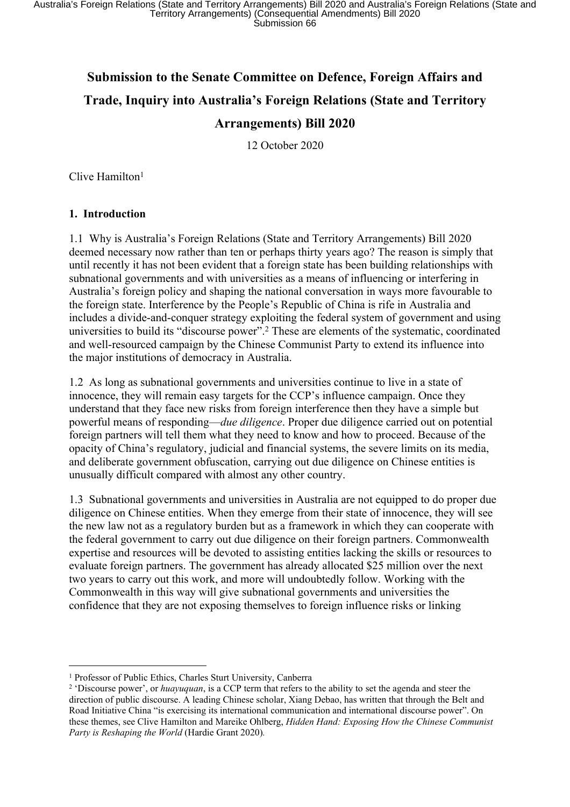# **Submission to the Senate Committee on Defence, Foreign Affairs and Trade, Inquiry into Australia's Foreign Relations (State and Territory Arrangements) Bill 2020**

12 October 2020

Clive Hamilton<sup>1</sup>

#### **1. Introduction**

1.1 Why is Australia's Foreign Relations (State and Territory Arrangements) Bill 2020 deemed necessary now rather than ten or perhaps thirty years ago? The reason is simply that until recently it has not been evident that a foreign state has been building relationships with subnational governments and with universities as a means of influencing or interfering in Australia's foreign policy and shaping the national conversation in ways more favourable to the foreign state. Interference by the People's Republic of China is rife in Australia and includes a divide-and-conquer strategy exploiting the federal system of government and using universities to build its "discourse power".<sup>2</sup> These are elements of the systematic, coordinated and well-resourced campaign by the Chinese Communist Party to extend its influence into the major institutions of democracy in Australia.

1.2 As long as subnational governments and universities continue to live in a state of innocence, they will remain easy targets for the CCP's influence campaign. Once they understand that they face new risks from foreign interference then they have a simple but powerful means of responding—*due diligence*. Proper due diligence carried out on potential foreign partners will tell them what they need to know and how to proceed. Because of the opacity of China's regulatory, judicial and financial systems, the severe limits on its media, and deliberate government obfuscation, carrying out due diligence on Chinese entities is unusually difficult compared with almost any other country.

1.3 Subnational governments and universities in Australia are not equipped to do proper due diligence on Chinese entities. When they emerge from their state of innocence, they will see the new law not as a regulatory burden but as a framework in which they can cooperate with the federal government to carry out due diligence on their foreign partners. Commonwealth expertise and resources will be devoted to assisting entities lacking the skills or resources to evaluate foreign partners. The government has already allocated \$25 million over the next two years to carry out this work, and more will undoubtedly follow. Working with the Commonwealth in this way will give subnational governments and universities the confidence that they are not exposing themselves to foreign influence risks or linking

<sup>1</sup> Professor of Public Ethics, Charles Sturt University, Canberra

<sup>&</sup>lt;sup>2</sup> 'Discourse power', or *huayuquan*, is a CCP term that refers to the ability to set the agenda and steer the direction of public discourse. A leading Chinese scholar, Xiang Debao, has written that through the Belt and Road Initiative China "is exercising its international communication and international discourse power". On these themes, see Clive Hamilton and Mareike Ohlberg, *Hidden Hand: Exposing How the Chinese Communist Party is Reshaping the World* (Hardie Grant 2020)*.*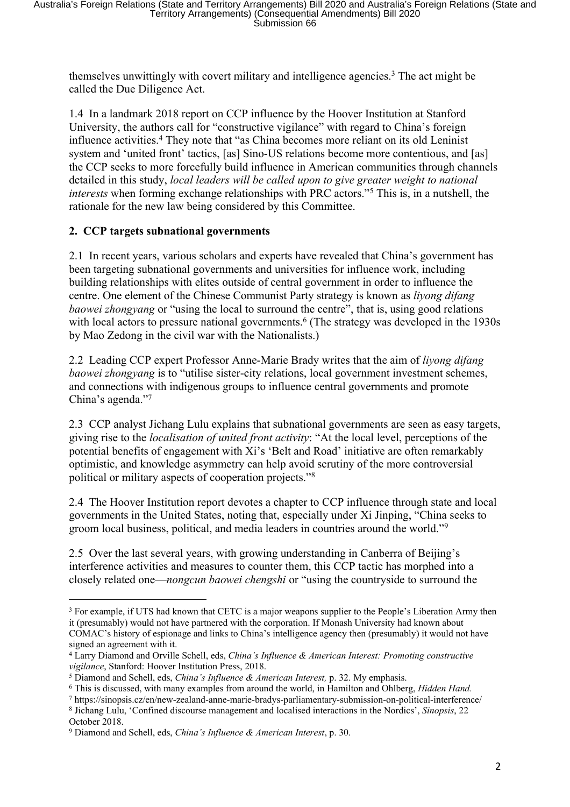themselves unwittingly with covert military and intelligence agencies.<sup>3</sup> The act might be called the Due Diligence Act.

1.4 In a landmark 2018 report on CCP influence by the Hoover Institution at Stanford University, the authors call for "constructive vigilance" with regard to China's foreign influence activities.<sup>4</sup> They note that "as China becomes more reliant on its old Leninist system and 'united front' tactics, [as] Sino-US relations become more contentious, and [as] the CCP seeks to more forcefully build influence in American communities through channels detailed in this study, *local leaders will be called upon to give greater weight to national interests* when forming exchange relationships with PRC actors."<sup>5</sup> This is, in a nutshell, the rationale for the new law being considered by this Committee.

### **2. CCP targets subnational governments**

2.1 In recent years, various scholars and experts have revealed that China's government has been targeting subnational governments and universities for influence work, including building relationships with elites outside of central government in order to influence the centre. One element of the Chinese Communist Party strategy is known as *liyong difang baowei zhongyang* or "using the local to surround the centre", that is, using good relations with local actors to pressure national governments.<sup>6</sup> (The strategy was developed in the 1930s by Mao Zedong in the civil war with the Nationalists.)

2.2 Leading CCP expert Professor Anne-Marie Brady writes that the aim of *liyong difang baowei zhongyang* is to "utilise sister-city relations, local government investment schemes, and connections with indigenous groups to influence central governments and promote China's agenda."<sup>7</sup>

2.3 CCP analyst Jichang Lulu explains that subnational governments are seen as easy targets, giving rise to the *localisation of united front activity*: "At the local level, perceptions of the potential benefits of engagement with Xi's 'Belt and Road' initiative are often remarkably optimistic, and knowledge asymmetry can help avoid scrutiny of the more controversial political or military aspects of cooperation projects."<sup>8</sup>

2.4 The Hoover Institution report devotes a chapter to CCP influence through state and local governments in the United States, noting that, especially under Xi Jinping, "China seeks to groom local business, political, and media leaders in countries around the world."<sup>9</sup>

2.5 Over the last several years, with growing understanding in Canberra of Beijing's interference activities and measures to counter them, this CCP tactic has morphed into a closely related one—*nongcun baowei chengshi* or "using the countryside to surround the

<sup>&</sup>lt;sup>3</sup> For example, if UTS had known that CETC is a major weapons supplier to the People's Liberation Army then it (presumably) would not have partnered with the corporation. If Monash University had known about COMAC's history of espionage and links to China's intelligence agency then (presumably) it would not have signed an agreement with it.

<sup>4</sup> Larry Diamond and Orville Schell, eds, *China's Influence & American Interest: Promoting constructive vigilance*, Stanford: Hoover Institution Press, 2018.

<sup>5</sup> Diamond and Schell, eds, *China's Influence & American Interest,* p. 32. My emphasis.

<sup>6</sup> This is discussed, with many examples from around the world, in Hamilton and Ohlberg, *Hidden Hand.*

<sup>7</sup> https://sinopsis.cz/en/new-zealand-anne-marie-bradys-parliamentary-submission-on-political-interference/

<sup>8</sup> Jichang Lulu, 'Confined discourse management and localised interactions in the Nordics', *Sinopsis*, 22 October 2018.

<sup>9</sup> Diamond and Schell, eds, *China's Influence & American Interest*, p. 30.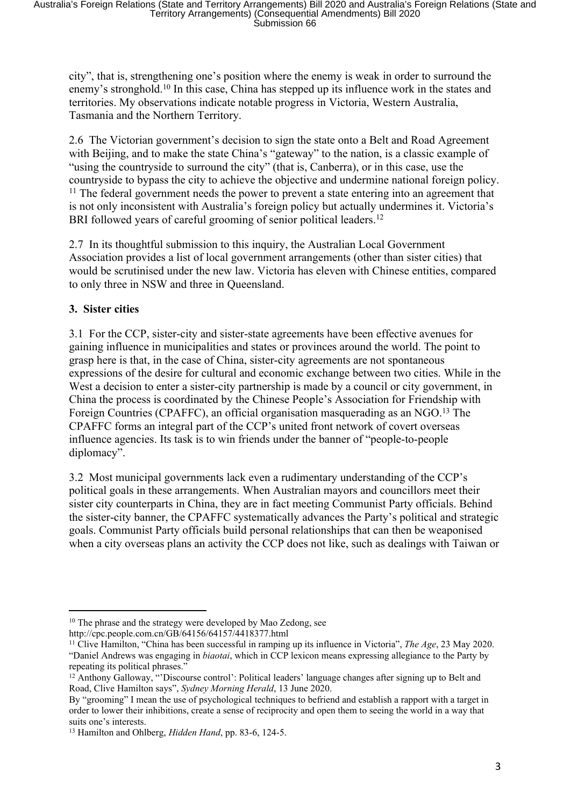city", that is, strengthening one's position where the enemy is weak in order to surround the enemy's stronghold.<sup>10</sup> In this case, China has stepped up its influence work in the states and territories. My observations indicate notable progress in Victoria, Western Australia, Tasmania and the Northern Territory.

2.6 The Victorian government's decision to sign the state onto a Belt and Road Agreement with Beijing, and to make the state China's "gateway" to the nation, is a classic example of "using the countryside to surround the city" (that is, Canberra), or in this case, use the countryside to bypass the city to achieve the objective and undermine national foreign policy. <sup>11</sup> The federal government needs the power to prevent a state entering into an agreement that is not only inconsistent with Australia's foreign policy but actually undermines it. Victoria's BRI followed years of careful grooming of senior political leaders.<sup>12</sup>

2.7 In its thoughtful submission to this inquiry, the Australian Local Government Association provides a list of local government arrangements (other than sister cities) that would be scrutinised under the new law. Victoria has eleven with Chinese entities, compared to only three in NSW and three in Queensland.

### **3. Sister cities**

3.1 For the CCP, sister-city and sister-state agreements have been effective avenues for gaining influence in municipalities and states or provinces around the world. The point to grasp here is that, in the case of China, sister-city agreements are not spontaneous expressions of the desire for cultural and economic exchange between two cities. While in the West a decision to enter a sister-city partnership is made by a council or city government, in China the process is coordinated by the Chinese People's Association for Friendship with Foreign Countries (CPAFFC), an official organisation masquerading as an NGO.<sup>13</sup> The CPAFFC forms an integral part of the CCP's united front network of covert overseas influence agencies. Its task is to win friends under the banner of "people-to-people diplomacy".

3.2 Most municipal governments lack even a rudimentary understanding of the CCP's political goals in these arrangements. When Australian mayors and councillors meet their sister city counterparts in China, they are in fact meeting Communist Party officials. Behind the sister-city banner, the CPAFFC systematically advances the Party's political and strategic goals. Communist Party officials build personal relationships that can then be weaponised when a city overseas plans an activity the CCP does not like, such as dealings with Taiwan or

<sup>&</sup>lt;sup>10</sup> The phrase and the strategy were developed by Mao Zedong, see

http://cpc.people.com.cn/GB/64156/64157/4418377.html

<sup>11</sup> Clive Hamilton, "China has been successful in ramping up its influence in Victoria", *The Age*, 23 May 2020. "Daniel Andrews was engaging in *biaotai*, which in CCP lexicon means expressing allegiance to the Party by repeating its political phrases."

<sup>&</sup>lt;sup>12</sup> Anthony Galloway, "'Discourse control': Political leaders' language changes after signing up to Belt and Road, Clive Hamilton says", *Sydney Morning Herald*, 13 June 2020.

By "grooming" I mean the use of psychological techniques to befriend and establish a rapport with a target in order to lower their inhibitions, create a sense of reciprocity and open them to seeing the world in a way that suits one's interests.

<sup>13</sup> Hamilton and Ohlberg, *Hidden Hand*, pp. 83-6, 124-5.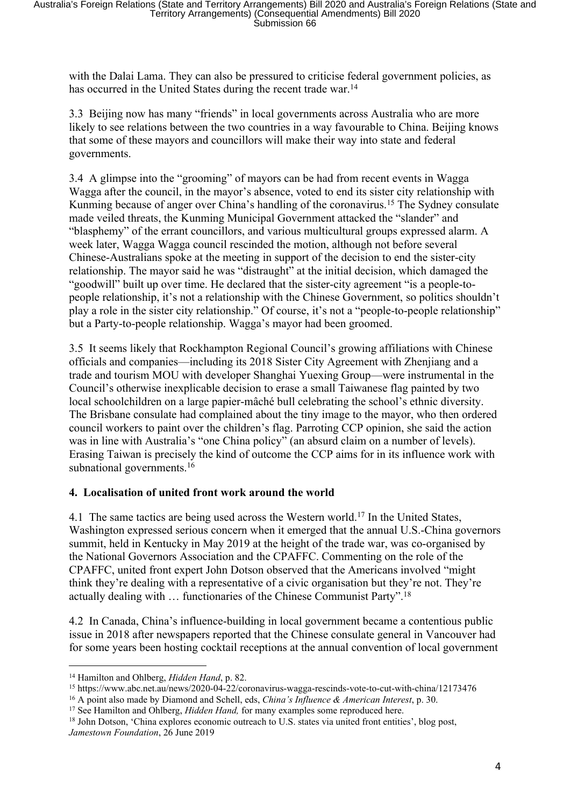with the Dalai Lama. They can also be pressured to criticise federal government policies, as has occurred in the United States during the recent trade war.<sup>14</sup>

3.3 Beijing now has many "friends" in local governments across Australia who are more likely to see relations between the two countries in a way favourable to China. Beijing knows that some of these mayors and councillors will make their way into state and federal governments.

3.4 A glimpse into the "grooming" of mayors can be had from recent events in Wagga Wagga after the council, in the mayor's absence, voted to end its sister city relationship with Kunming because of anger over China's handling of the coronavirus.<sup>15</sup> The Sydney consulate made veiled threats, the Kunming Municipal Government attacked the "slander" and "blasphemy" of the errant councillors, and various multicultural groups expressed alarm. A week later, Wagga Wagga council rescinded the motion, although not before several Chinese-Australians spoke at the meeting in support of the decision to end the sister-city relationship. The mayor said he was "distraught" at the initial decision, which damaged the "goodwill" built up over time. He declared that the sister-city agreement "is a people-topeople relationship, it's not a relationship with the Chinese Government, so politics shouldn't play a role in the sister city relationship." Of course, it's not a "people-to-people relationship" but a Party-to-people relationship. Wagga's mayor had been groomed.

3.5 It seems likely that Rockhampton Regional Council's growing affiliations with Chinese officials and companies—including its 2018 Sister City Agreement with Zhenjiang and a trade and tourism MOU with developer Shanghai Yuexing Group—were instrumental in the Council's otherwise inexplicable decision to erase a small Taiwanese flag painted by two local schoolchildren on a large papier-mâché bull celebrating the school's ethnic diversity. The Brisbane consulate had complained about the tiny image to the mayor, who then ordered council workers to paint over the children's flag. Parroting CCP opinion, she said the action was in line with Australia's "one China policy" (an absurd claim on a number of levels). Erasing Taiwan is precisely the kind of outcome the CCP aims for in its influence work with subnational governments.<sup>16</sup>

#### **4. Localisation of united front work around the world**

4.1 The same tactics are being used across the Western world.<sup>17</sup> In the United States, Washington expressed serious concern when it emerged that the annual U.S.-China governors summit, held in Kentucky in May 2019 at the height of the trade war, was co-organised by the National Governors Association and the CPAFFC. Commenting on the role of the CPAFFC, united front expert John Dotson observed that the Americans involved "might think they're dealing with a representative of a civic organisation but they're not. They're actually dealing with … functionaries of the Chinese Communist Party".<sup>18</sup>

4.2 In Canada, China's influence-building in local government became a contentious public issue in 2018 after newspapers reported that the Chinese consulate general in Vancouver had for some years been hosting cocktail receptions at the annual convention of local government

<sup>14</sup> Hamilton and Ohlberg, *Hidden Hand*, p. 82.

<sup>15</sup> https://www.abc.net.au/news/2020-04-22/coronavirus-wagga-rescinds-vote-to-cut-with-china/12173476

<sup>16</sup> A point also made by Diamond and Schell, eds, *China's Influence & American Interest*, p. 30.

<sup>&</sup>lt;sup>17</sup> See Hamilton and Ohlberg, *Hidden Hand*, for many examples some reproduced here.

<sup>&</sup>lt;sup>18</sup> John Dotson, 'China explores economic outreach to U.S. states via united front entities', blog post, *Jamestown Foundation*, 26 June 2019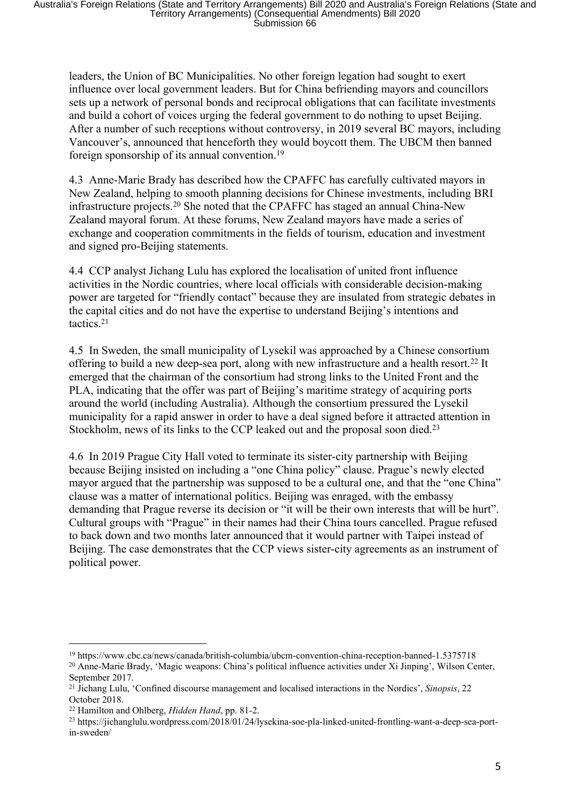leaders, the Union of BC Municipalities. No other foreign legation had sought to exert influence over local government leaders. But for China befriending mayors and councillors sets up a network of personal bonds and reciprocal obligations that can facilitate investments and build a cohort of voices urging the federal government to do nothing to upset Beijing. After a number of such receptions without controversy, in 2019 several BC mayors, including Vancouver's, announced that henceforth they would boycott them. The UBCM then banned foreign sponsorship of its annual convention.<sup>19</sup>

4.3 Anne-Marie Brady has described how the CPAFFC has carefully cultivated mayors in New Zealand, helping to smooth planning decisions for Chinese investments, including BRI infrastructure projects.<sup>20</sup> She noted that the CPAFFC has staged an annual China-New Zealand mayoral forum. At these forums, New Zealand mayors have made a series of exchange and cooperation commitments in the fields of tourism, education and investment and signed pro-Beijing statements.

4.4 CCP analyst Jichang Lulu has explored the localisation of united front influence activities in the Nordic countries, where local officials with considerable decision-making power are targeted for "friendly contact" because they are insulated from strategic debates in the capital cities and do not have the expertise to understand Beijing's intentions and tactics.<sup>21</sup>

4.5 In Sweden, the small municipality of Lysekil was approached by a Chinese consortium offering to build a new deep-sea port, along with new infrastructure and a health resort.<sup>22</sup> It emerged that the chairman of the consortium had strong links to the United Front and the PLA, indicating that the offer was part of Beijing's maritime strategy of acquiring ports around the world (including Australia). Although the consortium pressured the Lysekil municipality for a rapid answer in order to have a deal signed before it attracted attention in Stockholm, news of its links to the CCP leaked out and the proposal soon died.<sup>23</sup>

4.6 In 2019 Prague City Hall voted to terminate its sister-city partnership with Beijing because Beijing insisted on including a "one China policy" clause. Prague's newly elected mayor argued that the partnership was supposed to be a cultural one, and that the "one China" clause was a matter of international politics. Beijing was enraged, with the embassy demanding that Prague reverse its decision or "it will be their own interests that will be hurt". Cultural groups with "Prague" in their names had their China tours cancelled. Prague refused to back down and two months later announced that it would partner with Taipei instead of Beijing. The case demonstrates that the CCP views sister-city agreements as an instrument of political power.

<sup>19</sup> https://www.cbc.ca/news/canada/british-columbia/ubcm-convention-china-reception-banned-1.5375718

<sup>20</sup> Anne-Marie Brady, 'Magic weapons: China's political influence activities under Xi Jinping', Wilson Center, September 2017.

<sup>21</sup> Jichang Lulu, 'Confined discourse management and localised interactions in the Nordics', *Sinopsis*, 22 October 2018.

<sup>22</sup> Hamilton and Ohlberg, *Hidden Hand*, pp. 81-2.

<sup>23</sup> https://jichanglulu.wordpress.com/2018/01/24/lysekina-soe-pla-linked-united-frontling-want-a-deep-sea-portin-sweden/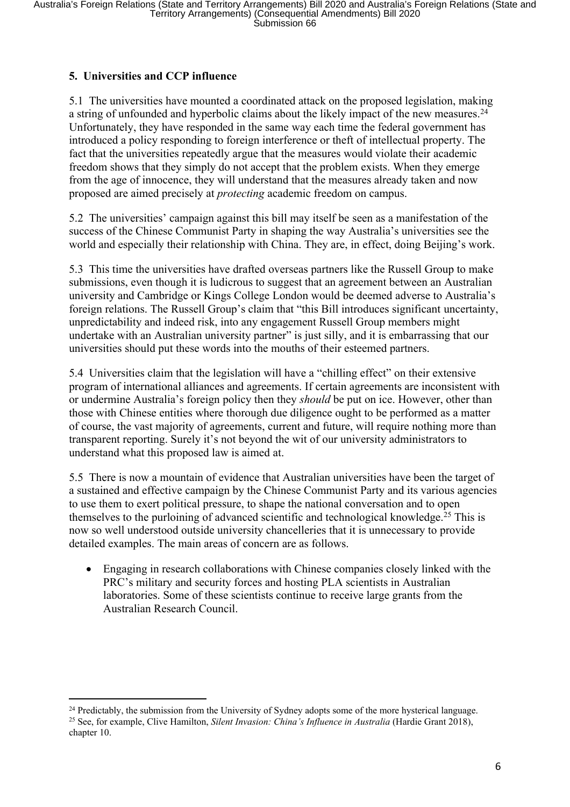## **5. Universities and CCP influence**

5.1 The universities have mounted a coordinated attack on the proposed legislation, making a string of unfounded and hyperbolic claims about the likely impact of the new measures.<sup>24</sup> Unfortunately, they have responded in the same way each time the federal government has introduced a policy responding to foreign interference or theft of intellectual property. The fact that the universities repeatedly argue that the measures would violate their academic freedom shows that they simply do not accept that the problem exists. When they emerge from the age of innocence, they will understand that the measures already taken and now proposed are aimed precisely at *protecting* academic freedom on campus.

5.2 The universities' campaign against this bill may itself be seen as a manifestation of the success of the Chinese Communist Party in shaping the way Australia's universities see the world and especially their relationship with China. They are, in effect, doing Beijing's work.

5.3 This time the universities have drafted overseas partners like the Russell Group to make submissions, even though it is ludicrous to suggest that an agreement between an Australian university and Cambridge or Kings College London would be deemed adverse to Australia's foreign relations. The Russell Group's claim that "this Bill introduces significant uncertainty, unpredictability and indeed risk, into any engagement Russell Group members might undertake with an Australian university partner" is just silly, and it is embarrassing that our universities should put these words into the mouths of their esteemed partners.

5.4 Universities claim that the legislation will have a "chilling effect" on their extensive program of international alliances and agreements. If certain agreements are inconsistent with or undermine Australia's foreign policy then they *should* be put on ice. However, other than those with Chinese entities where thorough due diligence ought to be performed as a matter of course, the vast majority of agreements, current and future, will require nothing more than transparent reporting. Surely it's not beyond the wit of our university administrators to understand what this proposed law is aimed at.

5.5 There is now a mountain of evidence that Australian universities have been the target of a sustained and effective campaign by the Chinese Communist Party and its various agencies to use them to exert political pressure, to shape the national conversation and to open themselves to the purloining of advanced scientific and technological knowledge.<sup>25</sup> This is now so well understood outside university chancelleries that it is unnecessary to provide detailed examples. The main areas of concern are as follows.

 Engaging in research collaborations with Chinese companies closely linked with the PRC's military and security forces and hosting PLA scientists in Australian laboratories. Some of these scientists continue to receive large grants from the Australian Research Council.

<sup>&</sup>lt;sup>24</sup> Predictably, the submission from the University of Sydney adopts some of the more hysterical language. <sup>25</sup> See, for example, Clive Hamilton, *Silent Invasion: China's Influence in Australia* (Hardie Grant 2018), chapter 10.